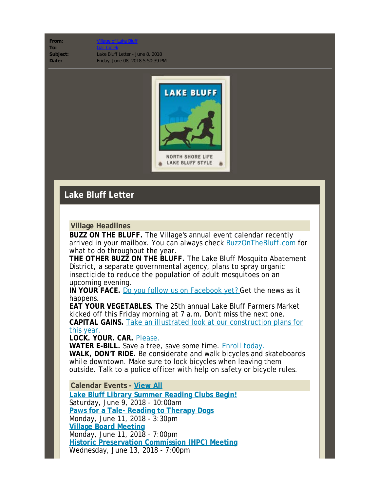## From: **To:** [Gail Ciolek](mailto:gciolek@lakebluff.org)

**Subject:** Lake Bluff Letter - June 8, 2018 **Date:** Friday, June 08, 2018 5:50:39 PM



## **Lake Bluff Letter**

## **Village Headlines**

**BUZZ ON THE BLUFF.** The Village's annual event calendar recently arrived in your mailbox. You can always check **BuzzOnTheBluff.com** for what to do throughout the year.

**THE OTHER BUZZ ON THE BLUFF.** The Lake Bluff Mosquito Abatement District, a separate governmental agency, plans to spray organic insecticide to reduce the population of adult mosquitoes on an upcoming evening.

**IN YOUR FACE.** [Do you follow us on Facebook yet?](http://www.lakebluff.org/index.php?option=com_acymailing&ctrl=url&subid=221&urlid=1944&mailid=516) Get the news as it happens.

**EAT YOUR VEGETABLES.** The 25th annual Lake Bluff Farmers Market kicked off this Friday morning at 7 a.m. Don't miss the next one. **CAPITAL GAINS.** [Take an illustrated look at our construction plans for](http://www.lakebluff.org/index.php?option=com_acymailing&ctrl=url&subid=221&urlid=2280&mailid=516) [this year.](http://www.lakebluff.org/index.php?option=com_acymailing&ctrl=url&subid=221&urlid=2280&mailid=516)

**LOCK. YOUR. CAR.** [Please.](http://www.lakebluff.org/index.php?option=com_acymailing&ctrl=url&subid=221&urlid=2274&mailid=516)

WATER E-BILL. Save a tree, save some time. **Enroll today**. **WALK, DON'T RIDE.** Be considerate and walk bicycles and skateboards while downtown. Make sure to lock bicycles when leaving them outside. Talk to a police officer with help on safety or bicycle rules.

**Calendar Events - [View All](http://www.lakebluff.org/government/calendar?acm=221_516)**

**[Lake Bluff Library Summer Reading Clubs Begin!](http://www.lakebluff.org/index.php?option=com_jevents&task=icalrepeat.detail&evid=3373&Itemid=107&acm=221_516)** Saturday, June 9, 2018 - 10:00am **[Paws for a Tale- Reading to Therapy Dogs](http://www.lakebluff.org/index.php?option=com_jevents&task=icalrepeat.detail&evid=3377&Itemid=107&acm=221_516)** Monday, June 11, 2018 - 3:30pm **[Village Board Meeting](http://www.lakebluff.org/index.php?option=com_jevents&task=icalrepeat.detail&evid=3223&Itemid=107&acm=221_516)** Monday, June 11, 2018 - 7:00pm **[Historic Preservation Commission \(HPC\) Meeting](http://www.lakebluff.org/index.php?option=com_jevents&task=icalrepeat.detail&evid=3253&Itemid=107&acm=221_516)** Wednesday, June 13, 2018 - 7:00pm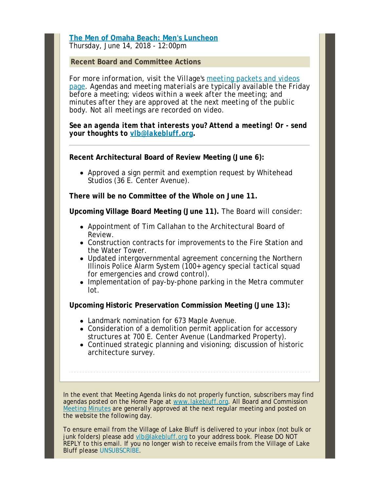**[The Men of Omaha Beach: Men's Luncheon](http://www.lakebluff.org/index.php?option=com_jevents&task=icalrepeat.detail&evid=3353&Itemid=107&acm=221_516)** Thursday, June 14, 2018 - 12:00pm

**Recent Board and Committee Actions**

*For more information, visit the Village's [meeting packets and videos](http://www.lakebluff.org/index.php?option=com_acymailing&ctrl=url&subid=221&urlid=2154&mailid=516) [page](http://www.lakebluff.org/index.php?option=com_acymailing&ctrl=url&subid=221&urlid=2154&mailid=516). Agendas and meeting materials are typically available the Friday before a meeting; videos within a week after the meeting; and minutes after they are approved at the next meeting of the public body. Not all meetings are recorded on video.*

*See an agenda item that interests you? Attend a meeting! Or - send your thoughts to [vlb@lakebluff.org](mailto:vlb@lakebluff.org).*

**Recent Architectural Board of Review Meeting (June 6):**

Approved a sign permit and exemption request by Whitehead Studios (36 E. Center Avenue).

**There will be no Committee of the Whole on June 11.**

**Upcoming Village Board Meeting (June 11).** The Board will consider:

- Appointment of Tim Callahan to the Architectural Board of Review.
- Construction contracts for improvements to the Fire Station and the Water Tower.
- Updated intergovernmental agreement concerning the Northern Illinois Police Alarm System (100+ agency special tactical squad for emergencies and crowd control).
- Implementation of pay-by-phone parking in the Metra commuter lot.

**Upcoming Historic Preservation Commission Meeting (June 13):**

- Landmark nomination for 673 Maple Avenue.
- Consideration of a demolition permit application for accessory structures at 700 E. Center Avenue (Landmarked Property).
- Continued strategic planning and visioning; discussion of historic architecture survey.

In the event that Meeting Agenda links do not properly function, subscribers may find agendas posted on the Home Page at [www.lakebluff.org](http://www.lakebluff.org/?acm=221_516). All Board and Commission [Meeting Minutes](http://www.lakebluff.org/government/agendas-and-minutes?acm=221_516) are generally approved at the next regular meeting and posted on the website the following day.

To ensure email from the Village of Lake Bluff is delivered to your inbox (not bulk or junk folders) please add [vlb@lakebluff.org](mailto:vlb@lakebluff.org) to your address book. Please DO NOT REPLY to this email. If you no longer wish to receive emails from the Village of Lake Bluff please [UNSUBSCRIBE](http://www.lakebluff.org/index.php?subid=221&option=com_acymailing&ctrl=user&task=out&mailid=516&key=fd32a444df0c9e50a1c12948c6a4971b).